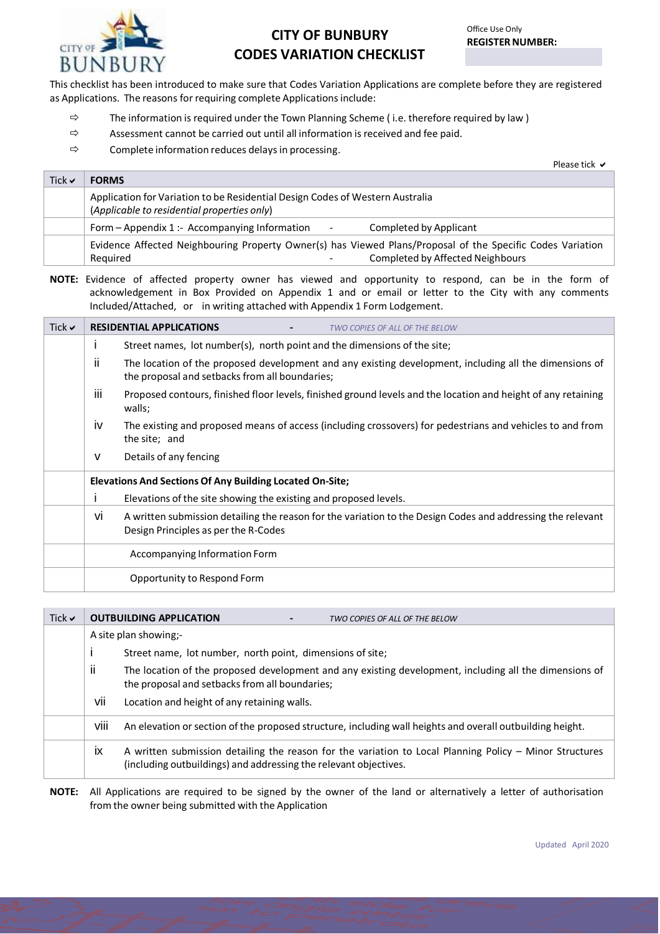

## **CITY OF BUNBURY CODES VARIATION CHECKLIST**

This checklist has been introduced to make sure that Codes Variation Applications are complete before they are registered as Applications. The reasons for requiring complete Applications include:

- $\Rightarrow$  The information is required under the Town Planning Scheme (i.e. therefore required by law)
- $\Rightarrow$  Assessment cannot be carried out until all information is received and fee paid.
- $\Rightarrow$  Complete information reduces delays in processing.

Please tick **✓** 

| Tick $\vee$ | <b>FORMS</b>                                                                                                                 |
|-------------|------------------------------------------------------------------------------------------------------------------------------|
|             | Application for Variation to be Residential Design Codes of Western Australia<br>(Applicable to residential properties only) |
|             | Form $-$ Appendix 1 :- Accompanying Information<br>Completed by Applicant<br>$\blacksquare$                                  |
|             | Evidence Affected Neighbouring Property Owner(s) has Viewed Plans/Proposal of the Specific Codes Variation                   |
|             | <b>Completed by Affected Neighbours</b><br>Reguired<br>$\overline{\phantom{0}}$                                              |

**NOTE:** Evidence of affected property owner has viewed and opportunity to respond, can be in the form of acknowledgement in Box Provided on Appendix 1 and or email or letter to the City with any comments Included/Attached, or in writing attached with Appendix 1 Form Lodgement.

| Tick $\vee$ |      | <b>RESIDENTIAL APPLICATIONS</b><br>TWO COPIES OF ALL OF THE BELOW                                                                                        |
|-------------|------|----------------------------------------------------------------------------------------------------------------------------------------------------------|
|             | L    | Street names, lot number(s), north point and the dimensions of the site;                                                                                 |
|             | Ш    | The location of the proposed development and any existing development, including all the dimensions of<br>the proposal and setbacks from all boundaries; |
|             | iii. | Proposed contours, finished floor levels, finished ground levels and the location and height of any retaining<br>walls;                                  |
|             | iv   | The existing and proposed means of access (including crossovers) for pedestrians and vehicles to and from<br>the site; and                               |
|             | v    | Details of any fencing                                                                                                                                   |
|             |      | <b>Elevations And Sections Of Any Building Located On-Site;</b>                                                                                          |
|             |      | Elevations of the site showing the existing and proposed levels.                                                                                         |
|             | vi   | A written submission detailing the reason for the variation to the Design Codes and addressing the relevant<br>Design Principles as per the R-Codes      |
|             |      | Accompanying Information Form                                                                                                                            |
|             |      | Opportunity to Respond Form                                                                                                                              |

| Tick $\vee$ |           | <b>OUTBUILDING APPLICATION</b><br>TWO COPIES OF ALL OF THE BELOW                                                                                                            |
|-------------|-----------|-----------------------------------------------------------------------------------------------------------------------------------------------------------------------------|
|             |           | A site plan showing:-                                                                                                                                                       |
|             |           | Street name, lot number, north point, dimensions of site;                                                                                                                   |
|             | ii.       | The location of the proposed development and any existing development, including all the dimensions of<br>the proposal and setbacks from all boundaries;                    |
|             | vii       | Location and height of any retaining walls.                                                                                                                                 |
|             | viii      | An elevation or section of the proposed structure, including wall heights and overall outbuilding height.                                                                   |
|             | <b>ix</b> | A written submission detailing the reason for the variation to Local Planning Policy - Minor Structures<br>(including outbuildings) and addressing the relevant objectives. |
|             |           | ومنفعون وعافريه فمرحوه والمستفصص والمستحل والمسترا والمراقص والمسترين والمستحي والمعارض والمستحدث والمستحدث والمستراد المرادي                                               |

**NOTE:** All Applications are required to be signed by the owner of the land or alternatively a letter of authorisation from the owner being submitted with the Application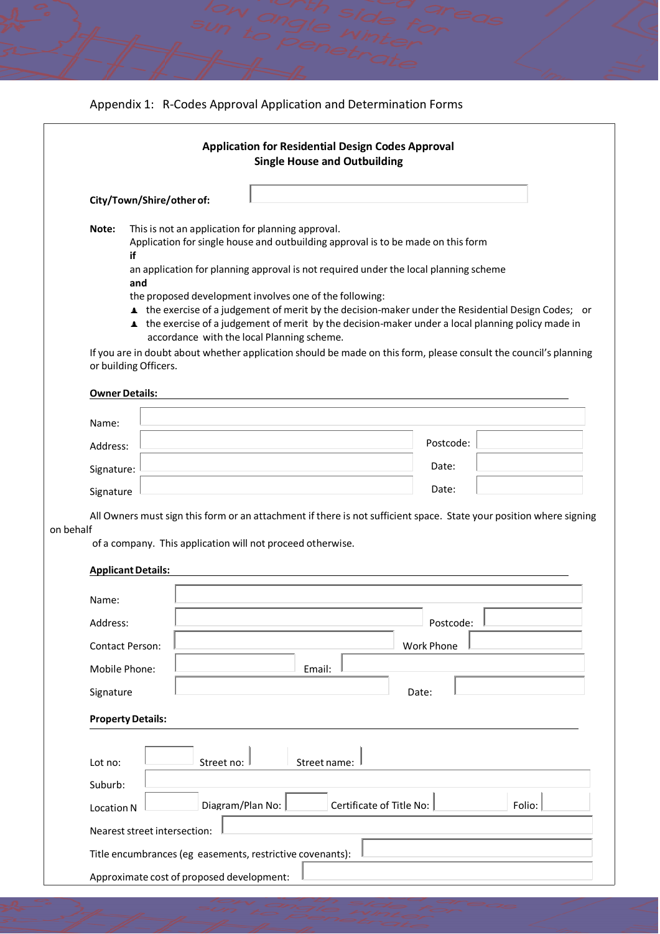|  |  |  | Appendix 1: R-Codes Approval Application and Determination Forms |
|--|--|--|------------------------------------------------------------------|
|--|--|--|------------------------------------------------------------------|

|                            |                              | <b>Application for Residential Design Codes Approval</b><br><b>Single House and Outbuilding</b>                                                              |                          |                   |        |
|----------------------------|------------------------------|--------------------------------------------------------------------------------------------------------------------------------------------------------------|--------------------------|-------------------|--------|
|                            | City/Town/Shire/other of:    |                                                                                                                                                              |                          |                   |        |
| Note:                      | if                           | This is not an application for planning approval.<br>Application for single house and outbuilding approval is to be made on this form                        |                          |                   |        |
|                            | and                          | an application for planning approval is not required under the local planning scheme                                                                         |                          |                   |        |
|                            |                              | the proposed development involves one of the following:<br>the exercise of a judgement of merit by the decision-maker under the Residential Design Codes; or |                          |                   |        |
|                            |                              | the exercise of a judgement of merit by the decision-maker under a local planning policy made in<br>accordance with the local Planning scheme.               |                          |                   |        |
|                            | or building Officers.        | If you are in doubt about whether application should be made on this form, please consult the council's planning                                             |                          |                   |        |
|                            |                              |                                                                                                                                                              |                          |                   |        |
| <b>Owner Details:</b>      |                              |                                                                                                                                                              |                          |                   |        |
| Name:                      |                              |                                                                                                                                                              |                          |                   |        |
| Address:                   |                              |                                                                                                                                                              |                          | Postcode:         |        |
| Signature:                 |                              |                                                                                                                                                              |                          | Date:             |        |
|                            |                              |                                                                                                                                                              |                          |                   |        |
| Signature                  |                              |                                                                                                                                                              |                          | Date:             |        |
|                            |                              | All Owners must sign this form or an attachment if there is not sufficient space. State your position where signing                                          |                          |                   |        |
| on behalf                  |                              | of a company. This application will not proceed otherwise.                                                                                                   |                          |                   |        |
| <b>Applicant Details:</b>  |                              |                                                                                                                                                              |                          |                   |        |
|                            |                              |                                                                                                                                                              |                          |                   |        |
| Name:                      |                              |                                                                                                                                                              |                          |                   |        |
| Address:                   |                              |                                                                                                                                                              |                          | Postcode:         |        |
| <b>Contact Person:</b>     |                              |                                                                                                                                                              |                          | <b>Work Phone</b> |        |
| Mobile Phone:<br>Signature |                              | Email:                                                                                                                                                       |                          | Date:             |        |
|                            |                              |                                                                                                                                                              |                          |                   |        |
| <b>Property Details:</b>   |                              |                                                                                                                                                              |                          |                   |        |
| Lot no:                    | Street no:                   |                                                                                                                                                              | Street name:             |                   |        |
| Suburb:                    |                              |                                                                                                                                                              |                          |                   |        |
| Location N                 |                              | Diagram/Plan No:                                                                                                                                             | Certificate of Title No: |                   | Folio: |
|                            | Nearest street intersection: |                                                                                                                                                              |                          |                   |        |